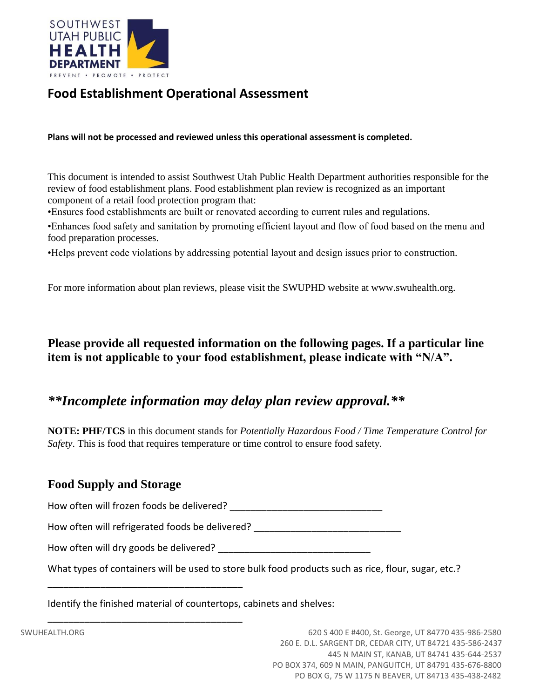

# **Food Establishment Operational Assessment**

**Plans will not be processed and reviewed unless this operational assessment is completed.**

This document is intended to assist Southwest Utah Public Health Department authorities responsible for the review of food establishment plans. Food establishment plan review is recognized as an important component of a retail food protection program that:

•Ensures food establishments are built or renovated according to current rules and regulations.

•Enhances food safety and sanitation by promoting efficient layout and flow of food based on the menu and food preparation processes.

•Helps prevent code violations by addressing potential layout and design issues prior to construction.

For more information about plan reviews, please visit the SWUPHD website at www.swuhealth.org.

## **Please provide all requested information on the following pages. If a particular line item is not applicable to your food establishment, please indicate with "N/A".**

# *\*\*Incomplete information may delay plan review approval.\*\**

**NOTE: PHF/TCS** in this document stands for *Potentially Hazardous Food / Time Temperature Control for Safety*. This is food that requires temperature or time control to ensure food safety.

#### **Food Supply and Storage**

How often will frozen foods be delivered? \_\_\_\_\_\_\_\_\_\_\_\_\_\_\_\_\_\_\_\_\_\_\_\_\_\_\_\_\_

How often will refrigerated foods be delivered?

How often will dry goods be delivered?

\_\_\_\_\_\_\_\_\_\_\_\_\_\_\_\_\_\_\_\_\_\_\_\_\_\_\_\_\_\_\_\_\_\_\_\_\_

\_\_\_\_\_\_\_\_\_\_\_\_\_\_\_\_\_\_\_\_\_\_\_\_\_\_\_\_\_\_\_\_\_\_\_\_\_

What types of containers will be used to store bulk food products such as rice, flour, sugar, etc.?

Identify the finished material of countertops, cabinets and shelves: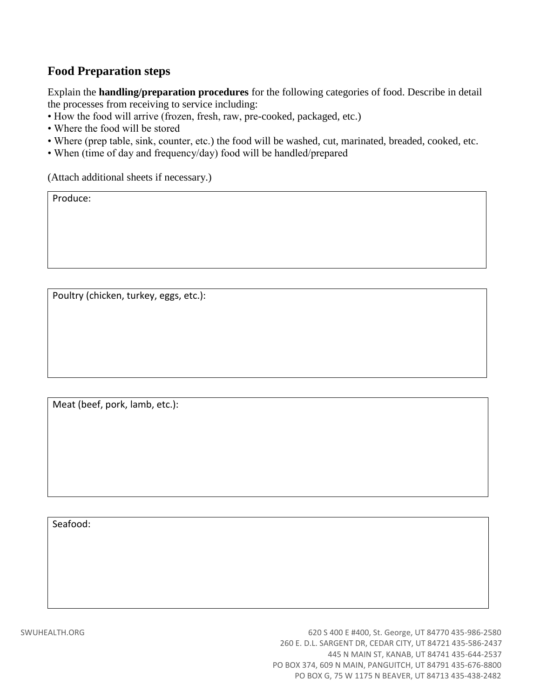#### **Food Preparation steps**

Explain the **handling/preparation procedures** for the following categories of food. Describe in detail the processes from receiving to service including:

- How the food will arrive (frozen, fresh, raw, pre-cooked, packaged, etc.)
- Where the food will be stored
- Where (prep table, sink, counter, etc.) the food will be washed, cut, marinated, breaded, cooked, etc.
- When (time of day and frequency/day) food will be handled/prepared

(Attach additional sheets if necessary.)

Produce:

Poultry (chicken, turkey, eggs, etc.):

Meat (beef, pork, lamb, etc.):

Seafood: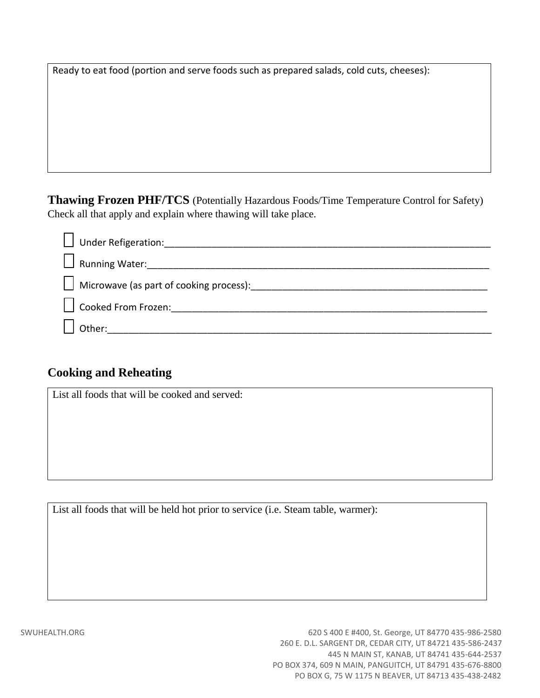Ready to eat food (portion and serve foods such as prepared salads, cold cuts, cheeses):

**Thawing Frozen PHF/TCS** (Potentially Hazardous Foods/Time Temperature Control for Safety) Check all that apply and explain where thawing will take place.

| <b>Under Refigeration:</b> |
|----------------------------|
| Running Water:             |
|                            |
| Cooked From Frozen: 1988   |
| Other:                     |

#### **Cooking and Reheating**

List all foods that will be cooked and served:

List all foods that will be held hot prior to service (i.e. Steam table, warmer):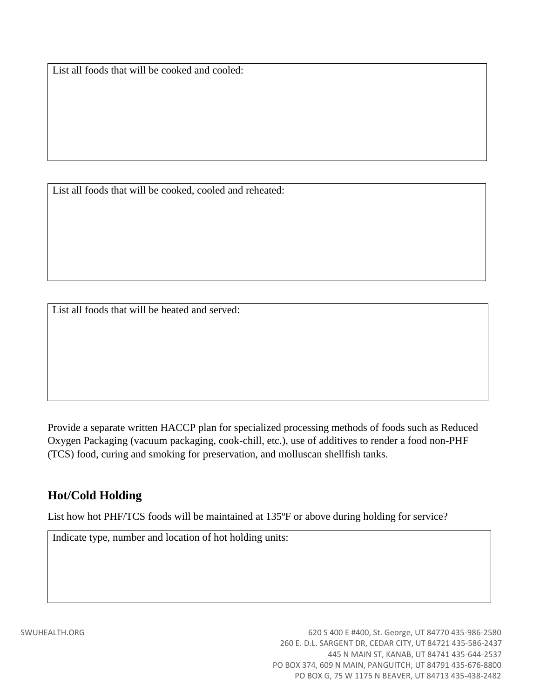List all foods that will be cooked and cooled:

List all foods that will be cooked, cooled and reheated:

List all foods that will be heated and served:

Provide a separate written HACCP plan for specialized processing methods of foods such as Reduced Oxygen Packaging (vacuum packaging, cook-chill, etc.), use of additives to render a food non-PHF (TCS) food, curing and smoking for preservation, and molluscan shellfish tanks.

#### **Hot/Cold Holding**

List how hot PHF/TCS foods will be maintained at 135ºF or above during holding for service?

Indicate type, number and location of hot holding units: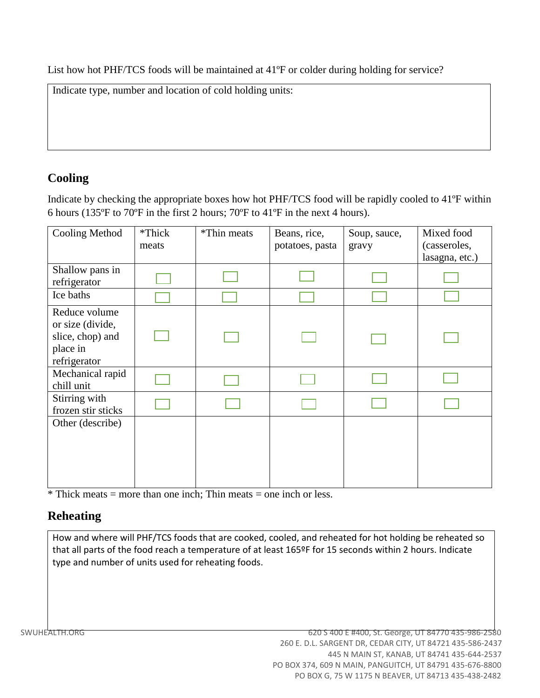List how hot PHF/TCS foods will be maintained at 41ºF or colder during holding for service?

| Indicate type, number and location of cold holding units: |  |
|-----------------------------------------------------------|--|
|                                                           |  |
|                                                           |  |
|                                                           |  |

# **Cooling**

Indicate by checking the appropriate boxes how hot PHF/TCS food will be rapidly cooled to 41ºF within 6 hours (135ºF to 70ºF in the first 2 hours; 70ºF to 41ºF in the next 4 hours).

| Cooling Method                                                                    | *Thick<br>meats | *Thin meats | Beans, rice,<br>potatoes, pasta | Soup, sauce,<br>gravy | Mixed food<br>(casseroles,<br>lasagna, etc.) |
|-----------------------------------------------------------------------------------|-----------------|-------------|---------------------------------|-----------------------|----------------------------------------------|
| Shallow pans in<br>refrigerator                                                   |                 |             |                                 |                       |                                              |
| Ice baths                                                                         |                 |             |                                 |                       |                                              |
| Reduce volume<br>or size (divide,<br>slice, chop) and<br>place in<br>refrigerator |                 |             |                                 |                       |                                              |
| Mechanical rapid<br>chill unit                                                    |                 |             |                                 |                       |                                              |
| Stirring with<br>frozen stir sticks                                               |                 |             |                                 |                       |                                              |
| Other (describe)                                                                  |                 |             |                                 |                       |                                              |

 $\overline{\text{F}}$  Thick meats = more than one inch; Thin meats = one inch or less.

#### **Reheating**

How and where will PHF/TCS foods that are cooked, cooled, and reheated for hot holding be reheated so that all parts of the food reach a temperature of at least 165ºF for 15 seconds within 2 hours. Indicate type and number of units used for reheating foods.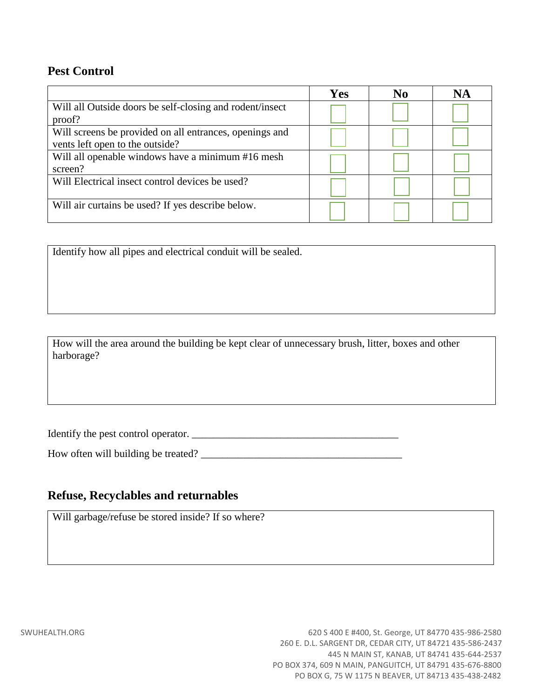#### **Pest Control**

|                                                          | Yes | No | NA |
|----------------------------------------------------------|-----|----|----|
| Will all Outside doors be self-closing and rodent/insect |     |    |    |
| proof?                                                   |     |    |    |
| Will screens be provided on all entrances, openings and  |     |    |    |
| vents left open to the outside?                          |     |    |    |
| Will all openable windows have a minimum #16 mesh        |     |    |    |
| screen?                                                  |     |    |    |
| Will Electrical insect control devices be used?          |     |    |    |
|                                                          |     |    |    |
| Will air curtains be used? If yes describe below.        |     |    |    |
|                                                          |     |    |    |

Identify how all pipes and electrical conduit will be sealed.

How will the area around the building be kept clear of unnecessary brush, litter, boxes and other harborage?

Identify the pest control operator. \_\_\_\_\_\_\_\_\_\_\_\_\_\_\_\_\_\_\_\_\_\_\_\_\_\_\_\_\_\_\_\_\_\_\_\_\_\_\_

How often will building be treated? \_\_\_\_\_\_\_\_\_\_\_\_\_\_\_\_\_\_\_\_\_\_\_\_\_\_\_\_\_\_\_\_\_\_\_\_\_\_

## **Refuse, Recyclables and returnables**

Will garbage/refuse be stored inside? If so where?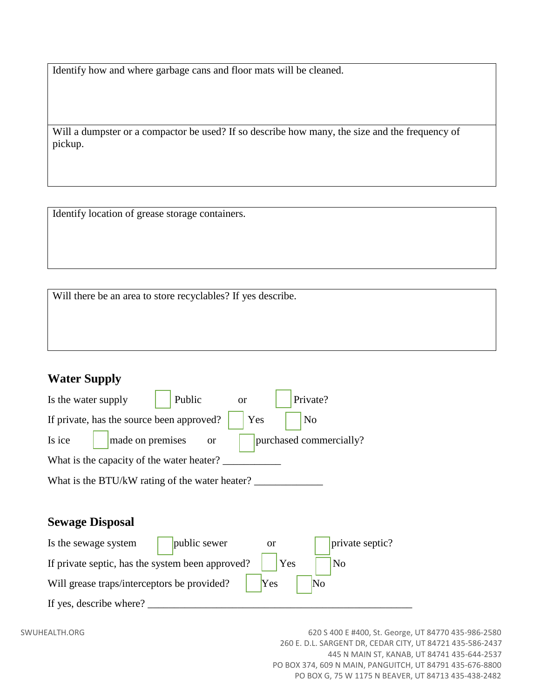Identify how and where garbage cans and floor mats will be cleaned.

Will a dumpster or a compactor be used? If so describe how many, the size and the frequency of pickup.

Identify location of grease storage containers.

Will there be an area to store recyclables? If yes describe.

#### **Water Supply**

| Is the water supply                            | Public              | or  | Private?                |
|------------------------------------------------|---------------------|-----|-------------------------|
| If private, has the source been approved?      |                     | Yes | N <sub>o</sub>          |
| Is ice                                         | made on premises or |     | purchased commercially? |
| What is the capacity of the water heater?      |                     |     |                         |
| What is the BTU/kW rating of the water heater? |                     |     |                         |

#### **Sewage Disposal**

| Is the sewage system                             | public sewer | or  | private septic?        |
|--------------------------------------------------|--------------|-----|------------------------|
| If private septic, has the system been approved? |              | Yes | N <sub>0</sub>         |
| Will grease traps/interceptors be provided?      |              | Yes | $\overline{\text{No}}$ |
| If yes, describe where?                          |              |     |                        |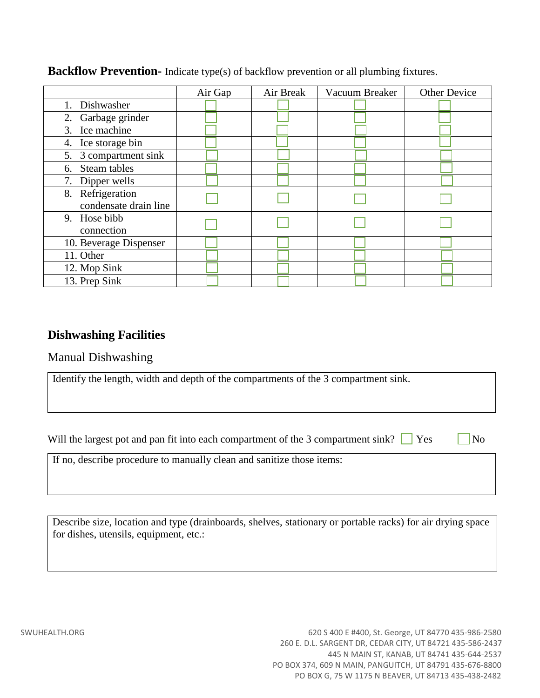|                        | Air Gap | Air Break | Vacuum Breaker | <b>Other Device</b> |
|------------------------|---------|-----------|----------------|---------------------|
| Dishwasher<br>1.       |         |           |                |                     |
| 2. Garbage grinder     |         |           |                |                     |
| 3. Ice machine         |         |           |                |                     |
| 4. Ice storage bin     |         |           |                |                     |
| 5. 3 compartment sink  |         |           |                |                     |
| Steam tables<br>6.     |         |           |                |                     |
| Dipper wells<br>7.     |         |           |                |                     |
| 8. Refrigeration       |         |           |                |                     |
| condensate drain line  |         |           |                |                     |
| 9. Hose bibb           |         |           |                |                     |
| connection             |         |           |                |                     |
| 10. Beverage Dispenser |         |           |                |                     |
| 11. Other              |         |           |                |                     |
| 12. Mop Sink           |         |           |                |                     |
| 13. Prep Sink          |         |           |                |                     |

#### **Backflow Prevention-** Indicate type(s) of backflow prevention or all plumbing fixtures.

#### **Dishwashing Facilities**

#### Manual Dishwashing

|  | Identify the length, width and depth of the compartments of the 3 compartment sink. |  |
|--|-------------------------------------------------------------------------------------|--|
|  |                                                                                     |  |

Will the largest pot and pan fit into each compartment of the 3 compartment sink?  $\Box$  Yes  $\Box$  No

If no, describe procedure to manually clean and sanitize those items:

Describe size, location and type (drainboards, shelves, stationary or portable racks) for air drying space for dishes, utensils, equipment, etc.: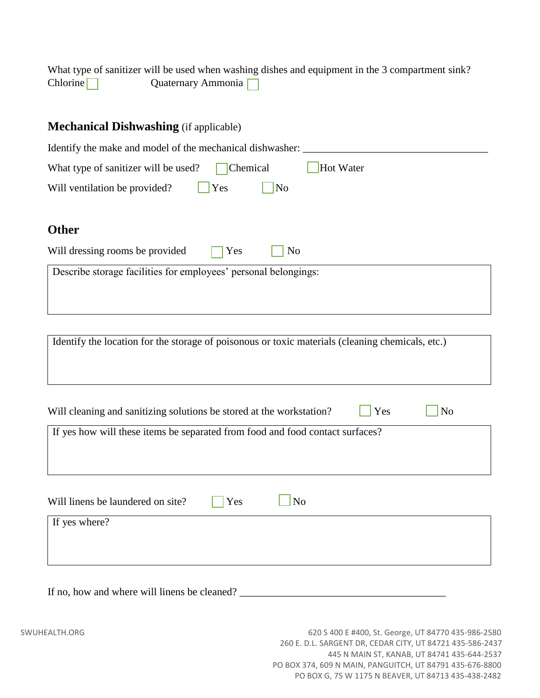What type of sanitizer will be used when washing dishes and equipment in the 3 compartment sink? Chlorine Quaternary Ammonia

| <b>Mechanical Dishwashing</b> (if applicable)                   |
|-----------------------------------------------------------------|
| Identify the make and model of the mechanical dishwasher:       |
| Hot Water<br>Chemical<br>What type of sanitizer will be used?   |
| Yes<br>Will ventilation be provided?<br>N <sub>o</sub>          |
|                                                                 |
| <b>Other</b>                                                    |
| Will dressing rooms be provided<br>Yes<br>N <sub>0</sub>        |
| Describe storage facilities for employees' personal belongings: |
|                                                                 |
|                                                                 |

| Identify the location for the storage of poisonous or toxic materials (cleaning chemicals, etc.) |     |                |
|--------------------------------------------------------------------------------------------------|-----|----------------|
| Will cleaning and sanitizing solutions be stored at the workstation?                             | Yes | N <sub>o</sub> |
| If yes how will these items be separated from food and food contact surfaces?                    |     |                |
| Will linens be laundered on site?<br>Yes<br>N <sub>o</sub>                                       |     |                |
| If yes where?                                                                                    |     |                |

If no, how and where will linens be cleaned? \_\_\_\_\_\_\_\_\_\_\_\_\_\_\_\_\_\_\_\_\_\_\_\_\_\_\_\_\_\_\_\_\_\_\_\_\_\_\_